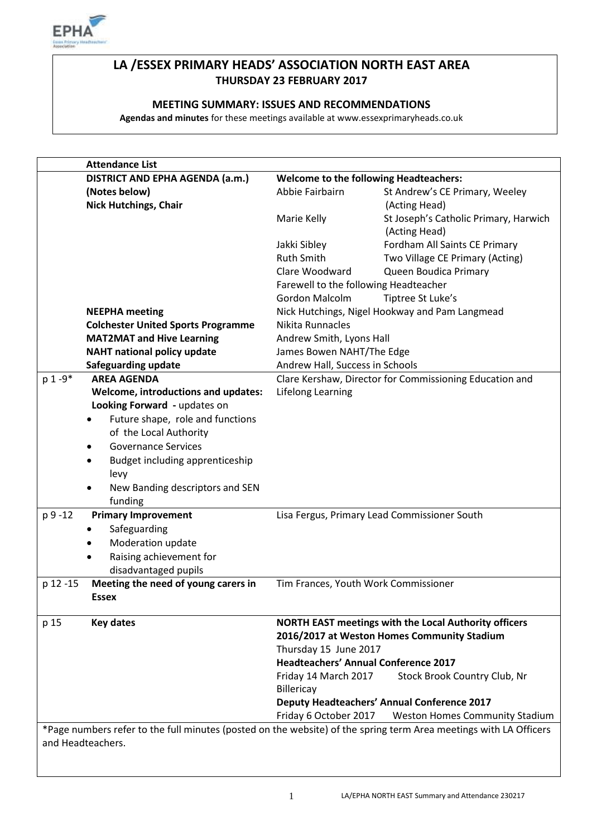

# **LA /ESSEX PRIMARY HEADS' ASSOCIATION NORTH EAST AREA THURSDAY 23 FEBRUARY 2017**

## **MEETING SUMMARY: ISSUES AND RECOMMENDATIONS**

**Agendas and minutes** for these meetings available at www.essexprimaryheads.co.uk

|          | <b>Attendance List</b>                                                                                            |                                                         |                                                              |  |
|----------|-------------------------------------------------------------------------------------------------------------------|---------------------------------------------------------|--------------------------------------------------------------|--|
|          | DISTRICT AND EPHA AGENDA (a.m.)                                                                                   | <b>Welcome to the following Headteachers:</b>           |                                                              |  |
|          | (Notes below)                                                                                                     | Abbie Fairbairn                                         | St Andrew's CE Primary, Weeley                               |  |
|          | <b>Nick Hutchings, Chair</b>                                                                                      |                                                         | (Acting Head)                                                |  |
|          |                                                                                                                   | Marie Kelly                                             | St Joseph's Catholic Primary, Harwich                        |  |
|          |                                                                                                                   |                                                         | (Acting Head)                                                |  |
|          |                                                                                                                   | Jakki Sibley                                            | Fordham All Saints CE Primary                                |  |
|          |                                                                                                                   | <b>Ruth Smith</b>                                       | Two Village CE Primary (Acting)                              |  |
|          |                                                                                                                   | Clare Woodward                                          | Queen Boudica Primary                                        |  |
|          |                                                                                                                   | Farewell to the following Headteacher                   |                                                              |  |
|          |                                                                                                                   | <b>Gordon Malcolm</b>                                   | Tiptree St Luke's                                            |  |
|          | <b>NEEPHA</b> meeting                                                                                             |                                                         | Nick Hutchings, Nigel Hookway and Pam Langmead               |  |
|          | <b>Colchester United Sports Programme</b>                                                                         | Nikita Runnacles                                        |                                                              |  |
|          | <b>MAT2MAT and Hive Learning</b>                                                                                  | Andrew Smith, Lyons Hall                                |                                                              |  |
|          | <b>NAHT national policy update</b>                                                                                | James Bowen NAHT/The Edge                               |                                                              |  |
|          | <b>Safeguarding update</b>                                                                                        | Andrew Hall, Success in Schools                         |                                                              |  |
| p 1-9*   | <b>AREA AGENDA</b>                                                                                                | Clare Kershaw, Director for Commissioning Education and |                                                              |  |
|          | Welcome, introductions and updates:                                                                               | <b>Lifelong Learning</b>                                |                                                              |  |
|          | Looking Forward - updates on                                                                                      |                                                         |                                                              |  |
|          | Future shape, role and functions<br>$\bullet$                                                                     |                                                         |                                                              |  |
|          | of the Local Authority                                                                                            |                                                         |                                                              |  |
|          | <b>Governance Services</b>                                                                                        |                                                         |                                                              |  |
|          | Budget including apprenticeship                                                                                   |                                                         |                                                              |  |
|          | levy                                                                                                              |                                                         |                                                              |  |
|          | New Banding descriptors and SEN                                                                                   |                                                         |                                                              |  |
|          | funding                                                                                                           |                                                         |                                                              |  |
| p 9 -12  | <b>Primary Improvement</b>                                                                                        | Lisa Fergus, Primary Lead Commissioner South            |                                                              |  |
|          | Safeguarding                                                                                                      |                                                         |                                                              |  |
|          | Moderation update<br>٠                                                                                            |                                                         |                                                              |  |
|          | Raising achievement for<br>$\bullet$                                                                              |                                                         |                                                              |  |
|          | disadvantaged pupils                                                                                              |                                                         |                                                              |  |
| p 12 -15 | Meeting the need of young carers in                                                                               | Tim Frances, Youth Work Commissioner                    |                                                              |  |
|          | <b>Essex</b>                                                                                                      |                                                         |                                                              |  |
| p 15     | <b>Key dates</b>                                                                                                  |                                                         | <b>NORTH EAST meetings with the Local Authority officers</b> |  |
|          |                                                                                                                   | 2016/2017 at Weston Homes Community Stadium             |                                                              |  |
|          |                                                                                                                   | Thursday 15 June 2017                                   |                                                              |  |
|          |                                                                                                                   | <b>Headteachers' Annual Conference 2017</b>             |                                                              |  |
|          |                                                                                                                   | Friday 14 March 2017                                    | Stock Brook Country Club, Nr                                 |  |
|          |                                                                                                                   | Billericay                                              |                                                              |  |
|          |                                                                                                                   |                                                         | <b>Deputy Headteachers' Annual Conference 2017</b>           |  |
|          |                                                                                                                   | Friday 6 October 2017                                   | <b>Weston Homes Community Stadium</b>                        |  |
|          | *Page numbers refer to the full minutes (posted on the website) of the spring term Area meetings with LA Officers |                                                         |                                                              |  |
|          | and Headteachers.                                                                                                 |                                                         |                                                              |  |
|          |                                                                                                                   |                                                         |                                                              |  |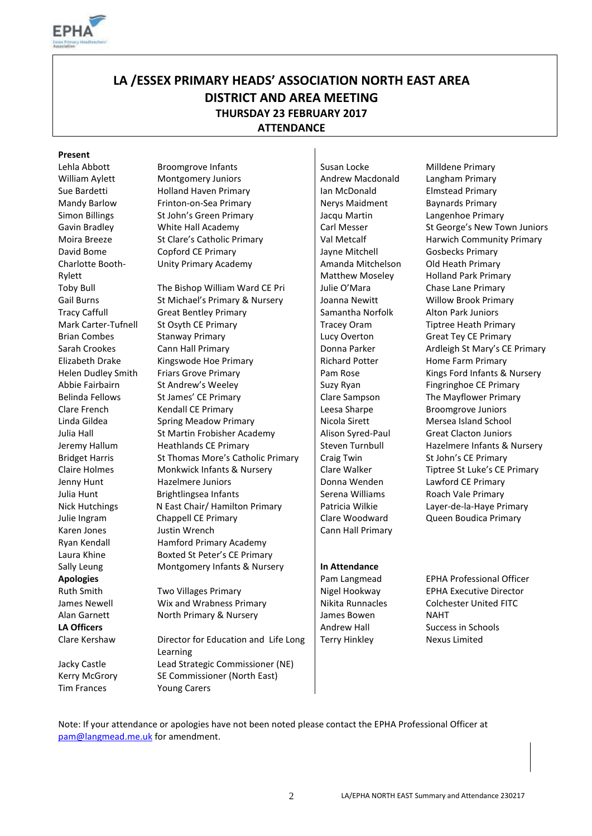

# **LA /ESSEX PRIMARY HEADS' ASSOCIATION NORTH EAST AREA DISTRICT AND AREA MEETING THURSDAY 23 FEBRUARY 2017 ATTENDANCE**

#### **Present**

Charlotte Booth-Rylett Toby Bull Gail Burns **LA Officers Contract Contract Contract Contract Contract Contract Contract Contract Contract Contract Contract Contract Contract Contract Contract Contract Contract Contract Contract Contract Contract Contract Contract** 

Lehla Abbott Broomgrove Infants Susan Locke Milldene Primary William Aylett Montgomery Juniors Andrew Macdonald Langham Primary Sue Bardetti **Holland Haven Primary Ian McDonald** Elmstead Primary Mandy Barlow Frinton-on-Sea Primary Nerys Maidment Baynards Primary Simon Billings St John's Green Primary Jacqu Martin Langenhoe Primary David Bome Copford CE Primary Jayne Mitchell Gosbecks Primary Unity Primary Academy **Amanda Mitchelson** 

The Bishop William Ward CE Pri St Michael's Primary & Nursery Tracy Caffull Great Bentley Primary Samantha Norfolk Alton Park Juniors Mark Carter-Tufnell St Osyth CE Primary Tracey Oram Tiptree Heath Primary Brian Combes Stanway Primary Channel Brian Company Care Stanway Primary Channel Brian Company Sarah Crookes Cann Hall Primary Donna Parker Ardleigh St Mary's CE Primary Elizabeth Drake Kingswode Hoe Primary | Richard Potter Home Farm Primary Helen Dudley Smith Friars Grove Primary Pam Rose Kings Ford Infants & Nursery Abbie Fairbairn St Andrew's Weeley Suzy Ryan Fingringhoe CE Primary Belinda Fellows St James' CE Primary Contract Late Sampson The Mayflower Primary Clare French Kendall CE Primary Leesa Sharpe Broomgrove Juniors Linda Gildea Spring Meadow Primary Nicola Sirett Nicola Sirett Mersea Island School Julia Hall St Martin Frobisher Academy Alison Syred-Paul Great Clacton Juniors Jeremy Hallum Heathlands CE Primary Function Steven Turnbull Hazelmere Infants & Nursery Bridget Harris St Thomas More's Catholic Primary Craig Twin St John's CE Primary Claire Holmes Monkwick Infants & Nursery | Clare Walker Tiptree St Luke's CE Primary Jenny Hunt Hazelmere Juniors Donna Wenden Lawford CE Primary Julia Hunt **Brightlingsea Infants** Serena Williams Roach Vale Primary Nick Hutchings N East Chair/ Hamilton Primary Patricia Wilkie Layer-de-la-Haye Primary Julie Ingram Chappell CE Primary Clare Woodward Queen Boudica Primary Karen Jones Justin Wrench Cann Hall Primary Ryan Kendall Hamford Primary Academy Laura Khine Boxted St Peter's CE Primary Sally Leung **Montgomery Infants & Nursery** | In Attendance

Ruth Smith Two Villages Primary Nigel Hookway EPHA Executive Director James Newell **Wix and Wrabness Primary** Nikita Runnacles Colchester United FITC Alan Garnett **North Primary & Nursery** James Bowen NAHT

Clare Kershaw Director for Education and Life Long Learning Jacky Castle Lead Strategic Commissioner (NE) Kerry McGrory SE Commissioner (North East) Tim Frances Young Carers

Matthew Moseley Julie O'Mara Joanna Newitt

Terry Hinkley Nexus Limited

Gavin Bradley **White Hall Academy** Carl Messer St George's New Town Juniors Moira Breeze St Clare's Catholic Primary Val Metcalf Harwich Community Primary Old Heath Primary Holland Park Primary Chase Lane Primary Willow Brook Primary

**Apologies Pam Langmead** EPHA Professional Officer

Note: If your attendance or apologies have not been noted please contact the EPHA Professional Officer at [pam@langmead.me.uk](mailto:pam@langmead.me.uk) for amendment.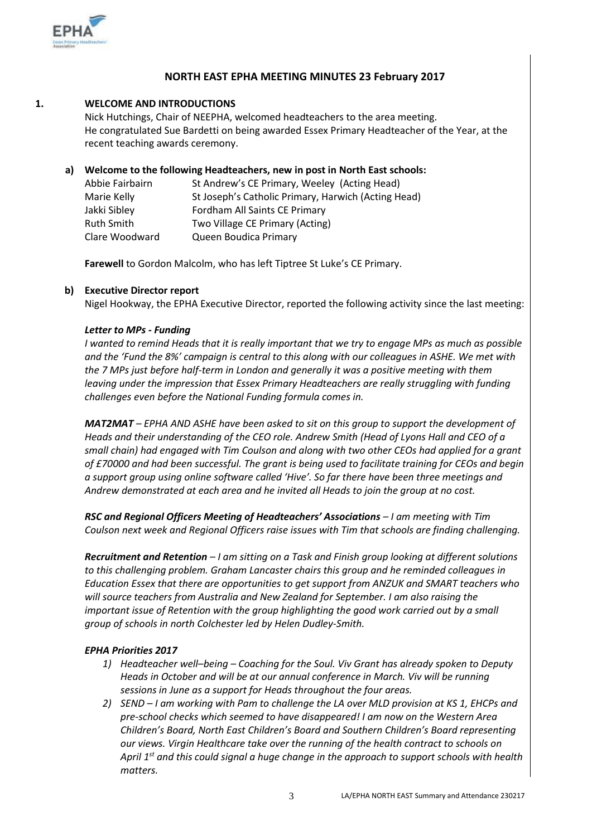

# **NORTH EAST EPHA MEETING MINUTES 23 February 2017**

#### **1. WELCOME AND INTRODUCTIONS**

Nick Hutchings, Chair of NEEPHA, welcomed headteachers to the area meeting. He congratulated Sue Bardetti on being awarded Essex Primary Headteacher of the Year, at the recent teaching awards ceremony.

# **a) Welcome to the following Headteachers, new in post in North East schools:**

| Abbie Fairbairn   | St Andrew's CE Primary, Weeley (Acting Head)        |
|-------------------|-----------------------------------------------------|
| Marie Kelly       | St Joseph's Catholic Primary, Harwich (Acting Head) |
| Jakki Sibley      | Fordham All Saints CE Primary                       |
| <b>Ruth Smith</b> | Two Village CE Primary (Acting)                     |
| Clare Woodward    | Queen Boudica Primary                               |

**Farewell** to Gordon Malcolm, who has left Tiptree St Luke's CE Primary.

### **b) Executive Director report**

Nigel Hookway, the EPHA Executive Director, reported the following activity since the last meeting:

### *Letter to MPs - Funding*

*I wanted to remind Heads that it is really important that we try to engage MPs as much as possible and the 'Fund the 8%' campaign is central to this along with our colleagues in ASHE. We met with the 7 MPs just before half-term in London and generally it was a positive meeting with them leaving under the impression that Essex Primary Headteachers are really struggling with funding challenges even before the National Funding formula comes in.*

*MAT2MAT – EPHA AND ASHE have been asked to sit on this group to support the development of Heads and their understanding of the CEO role. Andrew Smith (Head of Lyons Hall and CEO of a small chain) had engaged with Tim Coulson and along with two other CEOs had applied for a grant of £70000 and had been successful. The grant is being used to facilitate training for CEOs and begin a support group using online software called 'Hive'. So far there have been three meetings and Andrew demonstrated at each area and he invited all Heads to join the group at no cost.*

*RSC and Regional Officers Meeting of Headteachers' Associations – I am meeting with Tim Coulson next week and Regional Officers raise issues with Tim that schools are finding challenging.* 

*Recruitment and Retention – I am sitting on a Task and Finish group looking at different solutions to this challenging problem. Graham Lancaster chairs this group and he reminded colleagues in Education Essex that there are opportunities to get support from ANZUK and SMART teachers who will source teachers from Australia and New Zealand for September. I am also raising the important issue of Retention with the group highlighting the good work carried out by a small group of schools in north Colchester led by Helen Dudley-Smith.*

#### *EPHA Priorities 2017*

- *1) Headteacher well–being – Coaching for the Soul. Viv Grant has already spoken to Deputy Heads in October and will be at our annual conference in March. Viv will be running sessions in June as a support for Heads throughout the four areas.*
- *2) SEND – I am working with Pam to challenge the LA over MLD provision at KS 1, EHCPs and pre-school checks which seemed to have disappeared! I am now on the Western Area Children's Board, North East Children's Board and Southern Children's Board representing our views. Virgin Healthcare take over the running of the health contract to schools on April 1st and this could signal a huge change in the approach to support schools with health matters.*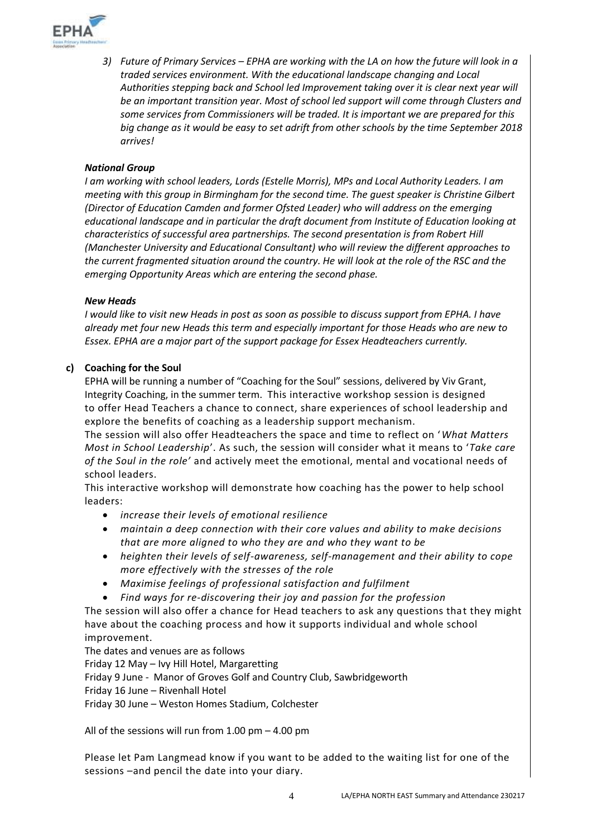

*3) Future of Primary Services – EPHA are working with the LA on how the future will look in a traded services environment. With the educational landscape changing and Local Authorities stepping back and School led Improvement taking over it is clear next year will be an important transition year. Most of school led support will come through Clusters and some services from Commissioners will be traded. It is important we are prepared for this big change as it would be easy to set adrift from other schools by the time September 2018 arrives!*

## *National Group*

*I am working with school leaders, Lords (Estelle Morris), MPs and Local Authority Leaders. I am meeting with this group in Birmingham for the second time. The guest speaker is Christine Gilbert (Director of Education Camden and former Ofsted Leader) who will address on the emerging educational landscape and in particular the draft document from Institute of Education looking at characteristics of successful area partnerships. The second presentation is from Robert Hill (Manchester University and Educational Consultant) who will review the different approaches to the current fragmented situation around the country. He will look at the role of the RSC and the emerging Opportunity Areas which are entering the second phase.* 

### *New Heads*

*I would like to visit new Heads in post as soon as possible to discuss support from EPHA. I have already met four new Heads this term and especially important for those Heads who are new to Essex. EPHA are a major part of the support package for Essex Headteachers currently.*

# **c) Coaching for the Soul**

EPHA will be running a number of "Coaching for the Soul" sessions, delivered by Viv Grant, Integrity Coaching, in the summer term. This interactive workshop session is designed to offer Head Teachers a chance to connect, share experiences of school leadership and explore the benefits of coaching as a leadership support mechanism.

The session will also offer Headteachers the space and time to reflect on '*What Matters Most in School Leadership*'. As such, the session will consider what it means to '*Take care of the Soul in the role'* and actively meet the emotional, mental and vocational needs of school leaders.

This interactive workshop will demonstrate how coaching has the power to help school leaders:

- *increase their levels of emotional resilience*
- *maintain a deep connection with their core values and ability to make decisions that are more aligned to who they are and who they want to be*
- *heighten their levels of self-awareness, self-management and their ability to cope more effectively with the stresses of the role*
- *Maximise feelings of professional satisfaction and fulfilment*
- *Find ways for re-discovering their joy and passion for the profession*

The session will also offer a chance for Head teachers to ask any questions that they might have about the coaching process and how it supports individual and whole school improvement.

The dates and venues are as follows

Friday 12 May – Ivy Hill Hotel, Margaretting

Friday 9 June - Manor of Groves Golf and Country Club, Sawbridgeworth

Friday 16 June – Rivenhall Hotel

Friday 30 June – Weston Homes Stadium, Colchester

All of the sessions will run from 1.00 pm – 4.00 pm

Please let Pam Langmead know if you want to be added to the waiting list for one of the sessions –and pencil the date into your diary.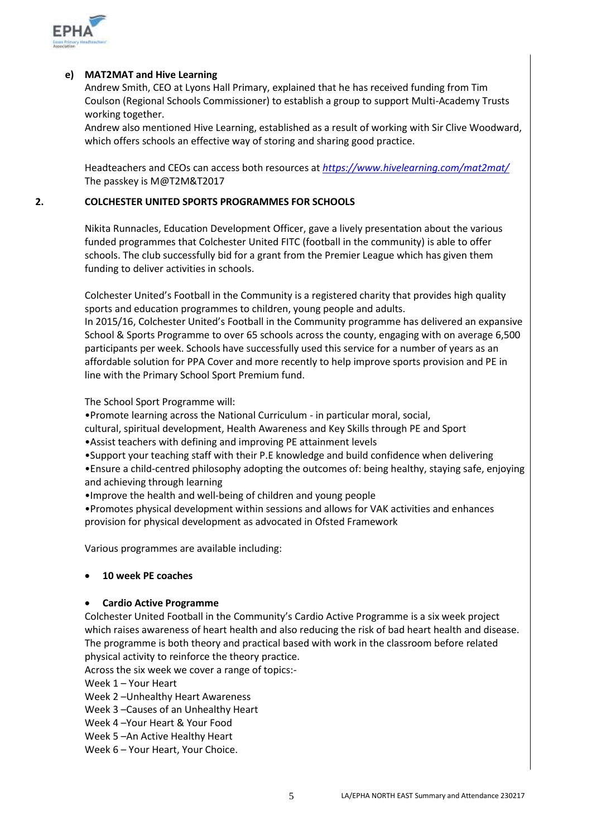

### **e) MAT2MAT and Hive Learning**

Andrew Smith, CEO at Lyons Hall Primary, explained that he has received funding from Tim Coulson (Regional Schools Commissioner) to establish a group to support Multi-Academy Trusts working together.

Andrew also mentioned Hive Learning, established as a result of working with Sir Clive Woodward, which offers schools an effective way of storing and sharing good practice.

Headteachers and CEOs can access both resources at *<https://www.hivelearning.com/mat2mat/>* The passkey is M@T2M&T2017

### **2. COLCHESTER UNITED SPORTS PROGRAMMES FOR SCHOOLS**

Nikita Runnacles, Education Development Officer, gave a lively presentation about the various funded programmes that Colchester United FITC (football in the community) is able to offer schools. The club successfully bid for a grant from the Premier League which has given them funding to deliver activities in schools.

Colchester United's Football in the Community is a registered charity that provides high quality sports and education programmes to children, young people and adults.

In 2015/16, Colchester United's Football in the Community programme has delivered an expansive School & Sports Programme to over 65 schools across the county, engaging with on average 6,500 participants per week. Schools have successfully used this service for a number of years as an affordable solution for PPA Cover and more recently to help improve sports provision and PE in line with the Primary School Sport Premium fund.

The School Sport Programme will:

•Promote learning across the National Curriculum - in particular moral, social,

cultural, spiritual development, Health Awareness and Key Skills through PE and Sport

•Assist teachers with defining and improving PE attainment levels

•Support your teaching staff with their P.E knowledge and build confidence when delivering

•Ensure a child-centred philosophy adopting the outcomes of: being healthy, staying safe, enjoying and achieving through learning

•Improve the health and well-being of children and young people

•Promotes physical development within sessions and allows for VAK activities and enhances provision for physical development as advocated in Ofsted Framework

Various programmes are available including:

# **10 week PE coaches**

#### **Cardio Active Programme**

Colchester United Football in the Community's Cardio Active Programme is a six week project which raises awareness of heart health and also reducing the risk of bad heart health and disease. The programme is both theory and practical based with work in the classroom before related physical activity to reinforce the theory practice.

Across the six week we cover a range of topics:-

Week 1 – Your Heart

Week 2 –Unhealthy Heart Awareness

Week 3 –Causes of an Unhealthy Heart

Week 4 –Your Heart & Your Food

Week 5 –An Active Healthy Heart

Week 6 – Your Heart, Your Choice.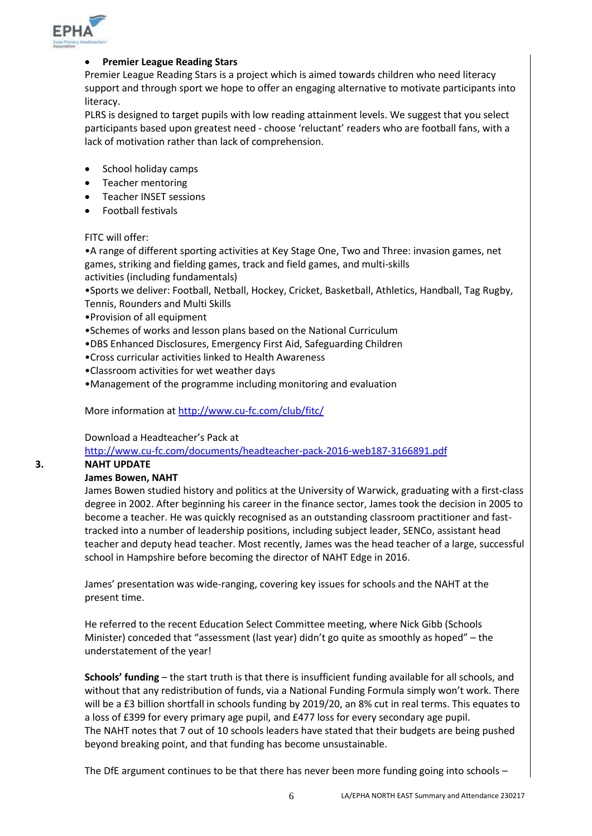

## **Premier League Reading Stars**

Premier League Reading Stars is a project which is aimed towards children who need literacy support and through sport we hope to offer an engaging alternative to motivate participants into literacy.

PLRS is designed to target pupils with low reading attainment levels. We suggest that you select participants based upon greatest need - choose 'reluctant' readers who are football fans, with a lack of motivation rather than lack of comprehension.

- School holiday camps
- Teacher mentoring
- Teacher INSET sessions
- Football festivals

# FITC will offer:

•A range of different sporting activities at Key Stage One, Two and Three: invasion games, net games, striking and fielding games, track and field games, and multi-skills activities (including fundamentals)

•Sports we deliver: Football, Netball, Hockey, Cricket, Basketball, Athletics, Handball, Tag Rugby,

- Tennis, Rounders and Multi Skills
- •Provision of all equipment
- •Schemes of works and lesson plans based on the National Curriculum
- •DBS Enhanced Disclosures, Emergency First Aid, Safeguarding Children
- •Cross curricular activities linked to Health Awareness
- •Classroom activities for wet weather days
- •Management of the programme including monitoring and evaluation

More information at<http://www.cu-fc.com/club/fitc/>

#### Download a Headteacher's Pack at

<http://www.cu-fc.com/documents/headteacher-pack-2016-web187-3166891.pdf>

# **3. NAHT UPDATE**

# **James Bowen, NAHT**

James Bowen studied history and politics at the University of Warwick, graduating with a first-class degree in 2002. After beginning his career in the finance sector, James took the decision in 2005 to become a teacher. He was quickly recognised as an outstanding classroom practitioner and fasttracked into a number of leadership positions, including subject leader, SENCo, assistant head teacher and deputy head teacher. Most recently, James was the head teacher of a large, successful school in Hampshire before becoming the director of NAHT Edge in 2016.

James' presentation was wide-ranging, covering key issues for schools and the NAHT at the present time.

He referred to the recent Education Select Committee meeting, where Nick Gibb (Schools Minister) conceded that "assessment (last year) didn't go quite as smoothly as hoped" – the understatement of the year!

**Schools' funding** – the start truth is that there is insufficient funding available for all schools, and without that any redistribution of funds, via a National Funding Formula simply won't work. There will be a £3 billion shortfall in schools funding by 2019/20, an 8% cut in real terms. This equates to a loss of £399 for every primary age pupil, and £477 loss for every secondary age pupil. The NAHT notes that 7 out of 10 schools leaders have stated that their budgets are being pushed beyond breaking point, and that funding has become unsustainable.

The DfE argument continues to be that there has never been more funding going into schools –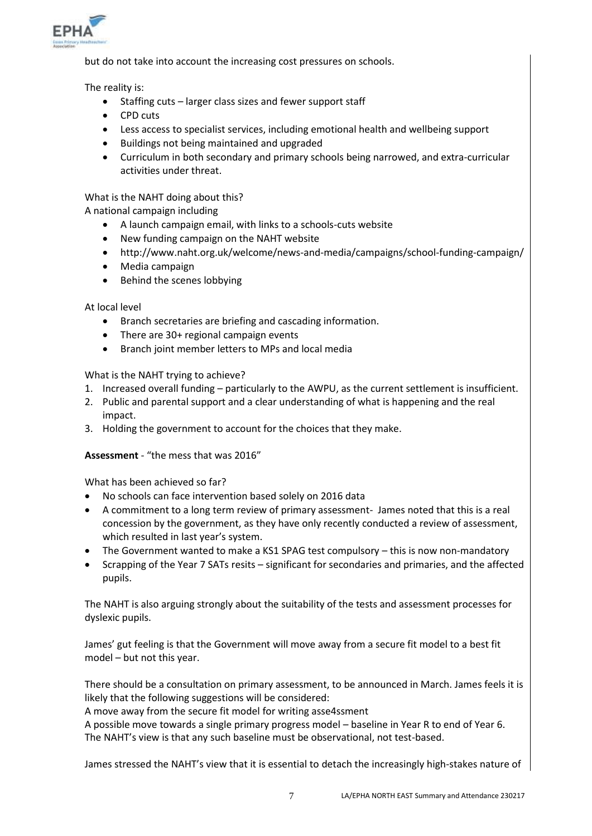

but do not take into account the increasing cost pressures on schools.

The reality is:

- Staffing cuts larger class sizes and fewer support staff
- CPD cuts
- Less access to specialist services, including emotional health and wellbeing support
- Buildings not being maintained and upgraded
- Curriculum in both secondary and primary schools being narrowed, and extra-curricular activities under threat.

What is the NAHT doing about this?

A national campaign including

- A launch campaign email, with links to a schools-cuts website
- New funding campaign on the NAHT website
- http://www.naht.org.uk/welcome/news-and-media/campaigns/school-funding-campaign/
- Media campaign
- Behind the scenes lobbying

At local level

- Branch secretaries are briefing and cascading information.
- There are 30+ regional campaign events
- Branch joint member letters to MPs and local media

What is the NAHT trying to achieve?

- 1. Increased overall funding particularly to the AWPU, as the current settlement is insufficient.
- 2. Public and parental support and a clear understanding of what is happening and the real impact.
- 3. Holding the government to account for the choices that they make.

**Assessment** - "the mess that was 2016"

What has been achieved so far?

- No schools can face intervention based solely on 2016 data
- A commitment to a long term review of primary assessment- James noted that this is a real concession by the government, as they have only recently conducted a review of assessment, which resulted in last year's system.
- The Government wanted to make a KS1 SPAG test compulsory this is now non-mandatory
- Scrapping of the Year 7 SATs resits significant for secondaries and primaries, and the affected pupils.

The NAHT is also arguing strongly about the suitability of the tests and assessment processes for dyslexic pupils.

James' gut feeling is that the Government will move away from a secure fit model to a best fit model – but not this year.

There should be a consultation on primary assessment, to be announced in March. James feels it is likely that the following suggestions will be considered:

A move away from the secure fit model for writing asse4ssment

A possible move towards a single primary progress model – baseline in Year R to end of Year 6. The NAHT's view is that any such baseline must be observational, not test-based.

James stressed the NAHT's view that it is essential to detach the increasingly high-stakes nature of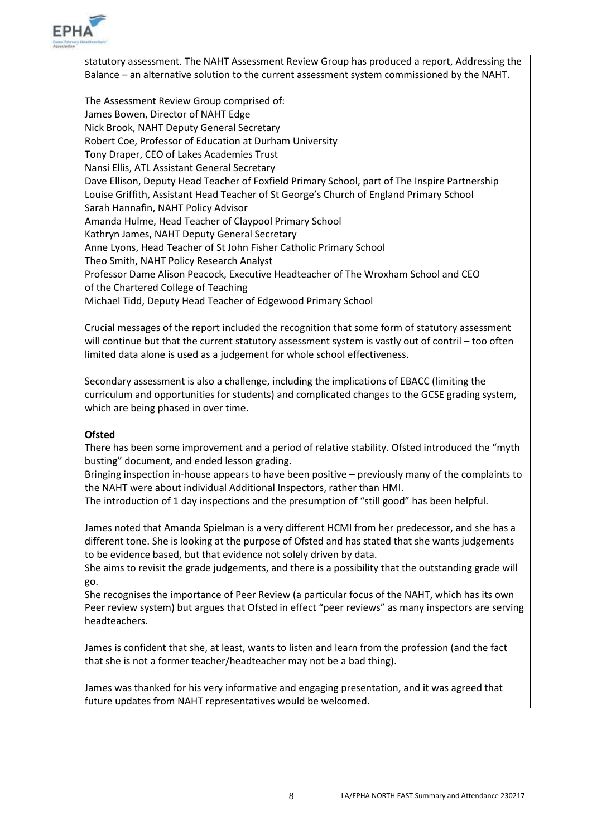

statutory assessment. The NAHT Assessment Review Group has produced a report, Addressing the Balance – an alternative solution to the current assessment system commissioned by the NAHT.

The Assessment Review Group comprised of: James Bowen, Director of NAHT Edge Nick Brook, NAHT Deputy General Secretary Robert Coe, Professor of Education at Durham University Tony Draper, CEO of Lakes Academies Trust Nansi Ellis, ATL Assistant General Secretary Dave Ellison, Deputy Head Teacher of Foxfield Primary School, part of The Inspire Partnership Louise Griffith, Assistant Head Teacher of St George's Church of England Primary School Sarah Hannafin, NAHT Policy Advisor Amanda Hulme, Head Teacher of Claypool Primary School Kathryn James, NAHT Deputy General Secretary Anne Lyons, Head Teacher of St John Fisher Catholic Primary School Theo Smith, NAHT Policy Research Analyst Professor Dame Alison Peacock, Executive Headteacher of The Wroxham School and CEO of the Chartered College of Teaching Michael Tidd, Deputy Head Teacher of Edgewood Primary School

Crucial messages of the report included the recognition that some form of statutory assessment will continue but that the current statutory assessment system is vastly out of contril - too often limited data alone is used as a judgement for whole school effectiveness.

Secondary assessment is also a challenge, including the implications of EBACC (limiting the curriculum and opportunities for students) and complicated changes to the GCSE grading system, which are being phased in over time.

#### **Ofsted**

There has been some improvement and a period of relative stability. Ofsted introduced the "myth busting" document, and ended lesson grading.

Bringing inspection in-house appears to have been positive – previously many of the complaints to the NAHT were about individual Additional Inspectors, rather than HMI.

The introduction of 1 day inspections and the presumption of "still good" has been helpful.

James noted that Amanda Spielman is a very different HCMI from her predecessor, and she has a different tone. She is looking at the purpose of Ofsted and has stated that she wants judgements to be evidence based, but that evidence not solely driven by data.

She aims to revisit the grade judgements, and there is a possibility that the outstanding grade will go.

She recognises the importance of Peer Review (a particular focus of the NAHT, which has its own Peer review system) but argues that Ofsted in effect "peer reviews" as many inspectors are serving headteachers.

James is confident that she, at least, wants to listen and learn from the profession (and the fact that she is not a former teacher/headteacher may not be a bad thing).

James was thanked for his very informative and engaging presentation, and it was agreed that future updates from NAHT representatives would be welcomed.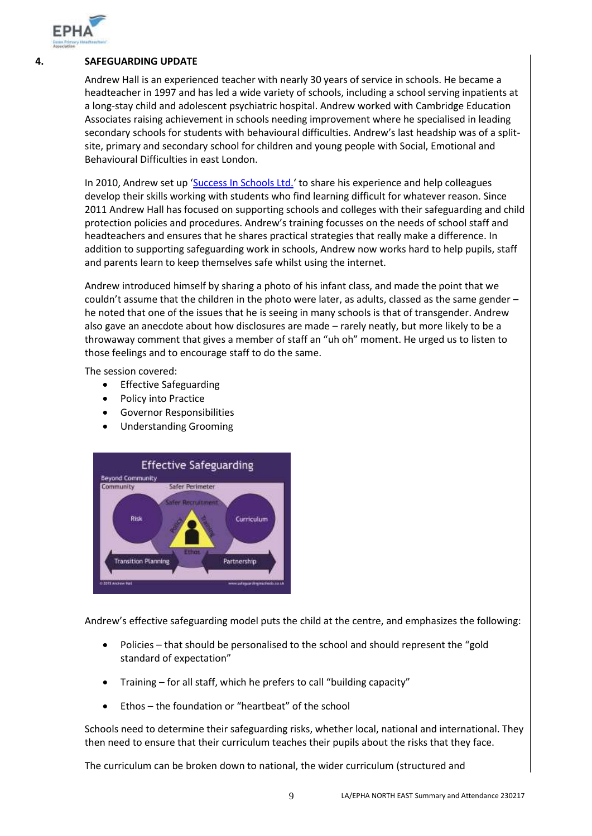

#### **4. SAFEGUARDING UPDATE**

Andrew Hall is an experienced teacher with nearly 30 years of service in schools. He became a headteacher in 1997 and has led a wide variety of schools, including a school serving inpatients at a long-stay child and adolescent psychiatric hospital. Andrew worked with Cambridge Education Associates raising achievement in schools needing improvement where he specialised in leading secondary schools for students with behavioural difficulties. Andrew's last headship was of a splitsite, primary and secondary school for children and young people with Social, Emotional and Behavioural Difficulties in east London.

In 2010, Andrew set up '[Success In Schools Ltd.](http://www.successinschools.co.uk/home/)' to share his experience and help colleagues develop their skills working with students who find learning difficult for whatever reason. Since 2011 Andrew Hall has focused on supporting schools and colleges with their safeguarding and child protection policies and procedures. Andrew's training focusses on the needs of school staff and headteachers and ensures that he shares practical strategies that really make a difference. In addition to supporting safeguarding work in schools, Andrew now works hard to help pupils, staff and parents learn to keep themselves safe whilst using the internet.

Andrew introduced himself by sharing a photo of his infant class, and made the point that we couldn't assume that the children in the photo were later, as adults, classed as the same gender – he noted that one of the issues that he is seeing in many schools is that of transgender. Andrew also gave an anecdote about how disclosures are made – rarely neatly, but more likely to be a throwaway comment that gives a member of staff an "uh oh" moment. He urged us to listen to those feelings and to encourage staff to do the same.

The session covered:

- Effective Safeguarding
- Policy into Practice
- Governor Responsibilities
- Understanding Grooming



Andrew's effective safeguarding model puts the child at the centre, and emphasizes the following:

- Policies that should be personalised to the school and should represent the "gold standard of expectation"
- Training for all staff, which he prefers to call "building capacity"
- Ethos the foundation or "heartbeat" of the school

Schools need to determine their safeguarding risks, whether local, national and international. They then need to ensure that their curriculum teaches their pupils about the risks that they face.

The curriculum can be broken down to national, the wider curriculum (structured and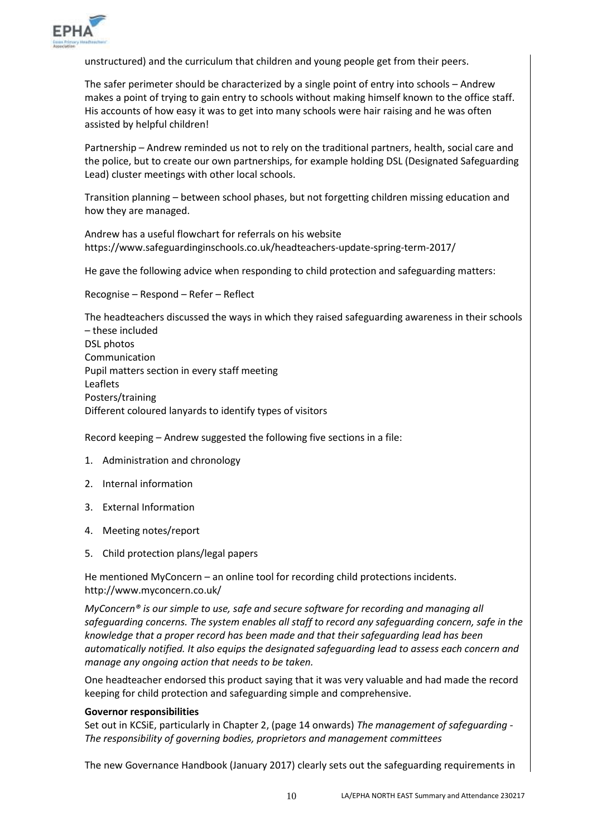

unstructured) and the curriculum that children and young people get from their peers.

The safer perimeter should be characterized by a single point of entry into schools – Andrew makes a point of trying to gain entry to schools without making himself known to the office staff. His accounts of how easy it was to get into many schools were hair raising and he was often assisted by helpful children!

Partnership – Andrew reminded us not to rely on the traditional partners, health, social care and the police, but to create our own partnerships, for example holding DSL (Designated Safeguarding Lead) cluster meetings with other local schools.

Transition planning – between school phases, but not forgetting children missing education and how they are managed.

Andrew has a useful flowchart for referrals on his website https://www.safeguardinginschools.co.uk/headteachers-update-spring-term-2017/

He gave the following advice when responding to child protection and safeguarding matters:

Recognise – Respond – Refer – Reflect

The headteachers discussed the ways in which they raised safeguarding awareness in their schools – these included DSL photos Communication Pupil matters section in every staff meeting Leaflets Posters/training Different coloured lanyards to identify types of visitors

Record keeping – Andrew suggested the following five sections in a file:

- 1. Administration and chronology
- 2. Internal information
- 3. External Information
- 4. Meeting notes/report
- 5. Child protection plans/legal papers

He mentioned MyConcern – an online tool for recording child protections incidents. http://www.myconcern.co.uk/

*MyConcern® is our simple to use, safe and secure software for recording and managing all safeguarding concerns. The system enables all staff to record any safeguarding concern, safe in the knowledge that a proper record has been made and that their safeguarding lead has been automatically notified. It also equips the designated safeguarding lead to assess each concern and manage any ongoing action that needs to be taken.* 

One headteacher endorsed this product saying that it was very valuable and had made the record keeping for child protection and safeguarding simple and comprehensive.

#### **Governor responsibilities**

Set out in KCSiE, particularly in Chapter 2, (page 14 onwards) *The management of safeguarding - The responsibility of governing bodies, proprietors and management committees*

The new Governance Handbook (January 2017) clearly sets out the safeguarding requirements in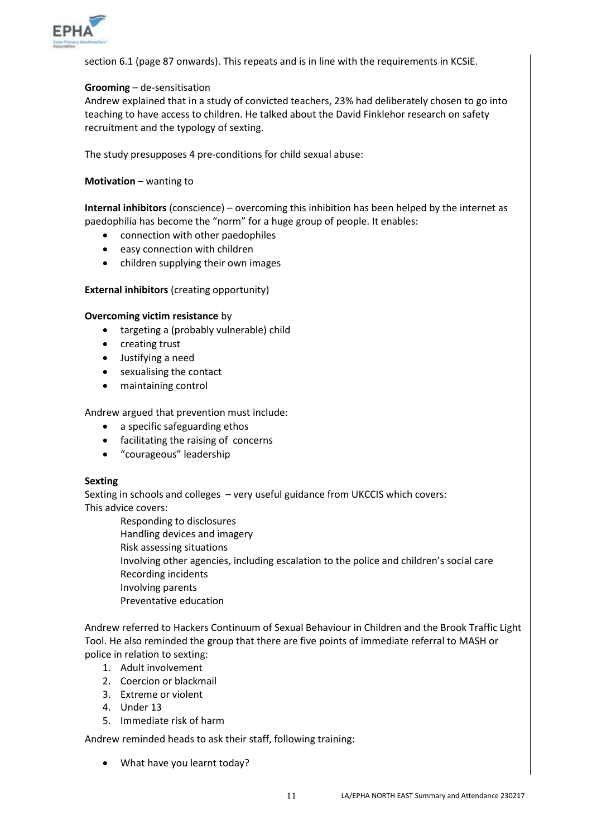

section 6.1 (page 87 onwards). This repeats and is in line with the requirements in KCSiE.

#### **Grooming** – de-sensitisation

Andrew explained that in a study of convicted teachers, 23% had deliberately chosen to go into teaching to have access to children. He talked about the David Finklehor research on safety recruitment and the typology of sexting.

The study presupposes 4 pre-conditions for child sexual abuse:

**Motivation** – wanting to

**Internal inhibitors** (conscience) – overcoming this inhibition has been helped by the internet as paedophilia has become the "norm" for a huge group of people. It enables:

- connection with other paedophiles
- easy connection with children
- children supplying their own images

**External inhibitors** (creating opportunity)

#### **Overcoming victim resistance** by

- targeting a (probably vulnerable) child
- creating trust
- Justifying a need
- sexualising the contact
- maintaining control

Andrew argued that prevention must include:

- a specific safeguarding ethos
- facilitating the raising of concerns
- "courageous" leadership

#### **Sexting**

Sexting in schools and colleges – very useful guidance from UKCCIS which covers: This advice covers:

Responding to disclosures Handling devices and imagery Risk assessing situations Involving other agencies, including escalation to the police and children's social care Recording incidents Involving parents Preventative education

Andrew referred to Hackers Continuum of Sexual Behaviour in Children and the Brook Traffic Light Tool. He also reminded the group that there are five points of immediate referral to MASH or police in relation to sexting:

- 1. Adult involvement
- 2. Coercion or blackmail
- 3. Extreme or violent
- 4. Under 13
- 5. Immediate risk of harm

Andrew reminded heads to ask their staff, following training:

What have you learnt today?